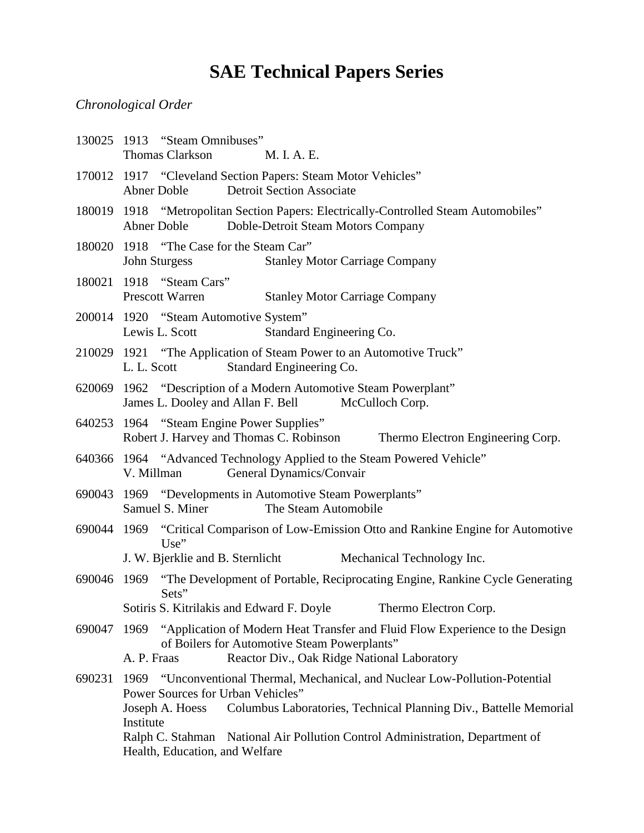## **SAE Technical Papers Series**

## *Chronological Order*

|             | 130025 1913 "Steam Omnibuses"<br>Thomas Clarkson<br>M. I. A. E.                                                                                                                                                         |  |  |  |  |
|-------------|-------------------------------------------------------------------------------------------------------------------------------------------------------------------------------------------------------------------------|--|--|--|--|
|             | 170012 1917 "Cleveland Section Papers: Steam Motor Vehicles"<br><b>Detroit Section Associate</b><br><b>Abner Doble</b>                                                                                                  |  |  |  |  |
|             | 180019 1918 "Metropolitan Section Papers: Electrically-Controlled Steam Automobiles"<br>Abner Doble<br>Doble-Detroit Steam Motors Company                                                                               |  |  |  |  |
| 180020      | 1918 "The Case for the Steam Car"<br><b>John Sturgess</b><br><b>Stanley Motor Carriage Company</b>                                                                                                                      |  |  |  |  |
|             | 180021 1918 "Steam Cars"<br><b>Prescott Warren</b><br><b>Stanley Motor Carriage Company</b>                                                                                                                             |  |  |  |  |
|             | 200014 1920 "Steam Automotive System"<br>Lewis L. Scott<br>Standard Engineering Co.                                                                                                                                     |  |  |  |  |
|             | 210029 1921 "The Application of Steam Power to an Automotive Truck"<br>Standard Engineering Co.<br>L. L. Scott                                                                                                          |  |  |  |  |
|             | 620069 1962 "Description of a Modern Automotive Steam Powerplant"<br>James L. Dooley and Allan F. Bell<br>McCulloch Corp.                                                                                               |  |  |  |  |
|             | 640253 1964 "Steam Engine Power Supplies"<br>Robert J. Harvey and Thomas C. Robinson<br>Thermo Electron Engineering Corp.                                                                                               |  |  |  |  |
|             | 640366 1964 "Advanced Technology Applied to the Steam Powered Vehicle"<br>General Dynamics/Convair<br>V. Millman                                                                                                        |  |  |  |  |
|             | 690043 1969 "Developments in Automotive Steam Powerplants"<br>Samuel S. Miner<br>The Steam Automobile                                                                                                                   |  |  |  |  |
| 690044 1969 | "Critical Comparison of Low-Emission Otto and Rankine Engine for Automotive<br>$Use$ "                                                                                                                                  |  |  |  |  |
|             | J. W. Bjerklie and B. Sternlicht<br>Mechanical Technology Inc.                                                                                                                                                          |  |  |  |  |
| 690046      | "The Development of Portable, Reciprocating Engine, Rankine Cycle Generating<br>1969<br>Sets"                                                                                                                           |  |  |  |  |
|             | Sotiris S. Kitrilakis and Edward F. Doyle<br>Thermo Electron Corp.                                                                                                                                                      |  |  |  |  |
| 690047      | "Application of Modern Heat Transfer and Fluid Flow Experience to the Design<br>1969<br>of Boilers for Automotive Steam Powerplants"                                                                                    |  |  |  |  |
|             | Reactor Div., Oak Ridge National Laboratory<br>A. P. Fraas                                                                                                                                                              |  |  |  |  |
| 690231      | 1969 "Unconventional Thermal, Mechanical, and Nuclear Low-Pollution-Potential<br>Power Sources for Urban Vehicles"<br>Columbus Laboratories, Technical Planning Div., Battelle Memorial<br>Joseph A. Hoess<br>Institute |  |  |  |  |
|             | Ralph C. Stahman<br>National Air Pollution Control Administration, Department of<br>Health, Education, and Welfare                                                                                                      |  |  |  |  |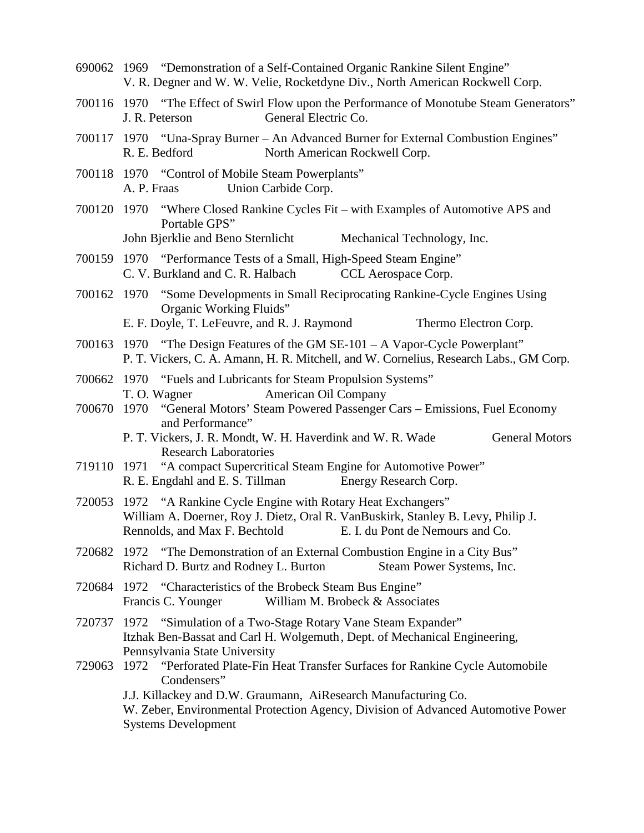690062 1969 "Demonstration of a Self-Contained Organic Rankine Silent Engine" V. R. Degner and W. W. Velie, Rocketdyne Div., North American Rockwell Corp. 700116 1970 "The Effect of Swirl Flow upon the Performance of Monotube Steam Generators" J. R. Peterson General Electric Co. 700117 1970 "Una-Spray Burner – An Advanced Burner for External Combustion Engines" R. E. Bedford North American Rockwell Corp. 700118 1970 "Control of Mobile Steam Powerplants" A. P. Fraas Union Carbide Corp. 700120 1970 "Where Closed Rankine Cycles Fit – with Examples of Automotive APS and Portable GPS" John Bjerklie and Beno Sternlicht Mechanical Technology, Inc. 700159 1970 "Performance Tests of a Small, High-Speed Steam Engine" C. V. Burkland and C. R. Halbach CCL Aerospace Corp. 700162 1970 "Some Developments in Small Reciprocating Rankine-Cycle Engines Using Organic Working Fluids" E. F. Doyle, T. LeFeuvre, and R. J. Raymond Thermo Electron Corp. 700163 1970 "The Design Features of the GM SE-101 – A Vapor-Cycle Powerplant" P. T. Vickers, C. A. Amann, H. R. Mitchell, and W. Cornelius, Research Labs., GM Corp. 700662 1970 "Fuels and Lubricants for Steam Propulsion Systems" T. O. Wagner American Oil Company 700670 1970 "General Motors' Steam Powered Passenger Cars – Emissions, Fuel Economy and Performance" P. T. Vickers, J. R. Mondt, W. H. Haverdink and W. R. Wade General Motors Research Laboratories 719110 1971 "A compact Supercritical Steam Engine for Automotive Power" R. E. Engdahl and E. S. Tillman Energy Research Corp. 720053 1972 "A Rankine Cycle Engine with Rotary Heat Exchangers" William A. Doerner, Roy J. Dietz, Oral R. VanBuskirk, Stanley B. Levy, Philip J. Rennolds, and Max F. Bechtold E. I. du Pont de Nemours and Co. 720682 1972 "The Demonstration of an External Combustion Engine in a City Bus" Richard D. Burtz and Rodney L. Burton Steam Power Systems, Inc. 720684 1972 "Characteristics of the Brobeck Steam Bus Engine" Francis C. Younger William M. Brobeck & Associates 720737 1972 "Simulation of a Two-Stage Rotary Vane Steam Expander" Itzhak Ben-Bassat and Carl H. Wolgemuth, Dept. of Mechanical Engineering, Pennsylvania State University 729063 1972 "Perforated Plate-Fin Heat Transfer Surfaces for Rankine Cycle Automobile Condensers" J.J. Killackey and D.W. Graumann, AiResearch Manufacturing Co. W. Zeber, Environmental Protection Agency, Division of Advanced Automotive Power Systems Development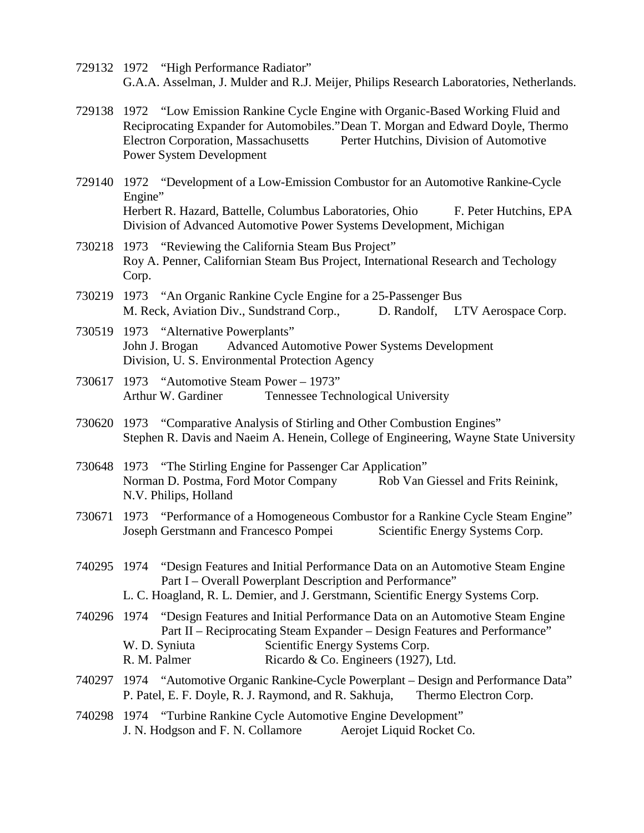- 729132 1972 "High Performance Radiator" G.A.A. Asselman, J. Mulder and R.J. Meijer, Philips Research Laboratories, Netherlands.
- 729138 1972 "Low Emission Rankine Cycle Engine with Organic-Based Working Fluid and Reciprocating Expander for Automobiles."Dean T. Morgan and Edward Doyle, Thermo Electron Corporation, Massachusetts Perter Hutchins, Division of Automotive Power System Development
- 729140 1972 "Development of a Low-Emission Combustor for an Automotive Rankine-Cycle Engine" Herbert R. Hazard, Battelle, Columbus Laboratories, Ohio F. Peter Hutchins, EPA Division of Advanced Automotive Power Systems Development, Michigan
- 730218 1973 "Reviewing the California Steam Bus Project" Roy A. Penner, Californian Steam Bus Project, International Research and Techology Corp.
- 730219 1973 "An Organic Rankine Cycle Engine for a 25-Passenger Bus M. Reck, Aviation Div., Sundstrand Corp., D. Randolf, LTV Aerospace Corp.
- 730519 1973 "Alternative Powerplants" John J. Brogan Advanced Automotive Power Systems Development Division, U. S. Environmental Protection Agency
- 730617 1973 "Automotive Steam Power 1973" Arthur W. Gardiner Tennessee Technological University
- 730620 1973 "Comparative Analysis of Stirling and Other Combustion Engines" Stephen R. Davis and Naeim A. Henein, College of Engineering, Wayne State University
- 730648 1973 "The Stirling Engine for Passenger Car Application" Norman D. Postma, Ford Motor Company Rob Van Giessel and Frits Reinink, N.V. Philips, Holland
- 730671 1973 "Performance of a Homogeneous Combustor for a Rankine Cycle Steam Engine" Joseph Gerstmann and Francesco Pompei Scientific Energy Systems Corp.
- 740295 1974 "Design Features and Initial Performance Data on an Automotive Steam Engine Part I – Overall Powerplant Description and Performance" L. C. Hoagland, R. L. Demier, and J. Gerstmann, Scientific Energy Systems Corp.
- 740296 1974 "Design Features and Initial Performance Data on an Automotive Steam Engine Part II – Reciprocating Steam Expander – Design Features and Performance" W. D. Syniuta Scientific Energy Systems Corp. R. M. Palmer Ricardo & Co. Engineers (1927), Ltd.
- 740297 1974 "Automotive Organic Rankine-Cycle Powerplant Design and Performance Data" P. Patel, E. F. Doyle, R. J. Raymond, and R. Sakhuja, Thermo Electron Corp.
- 740298 1974 "Turbine Rankine Cycle Automotive Engine Development" J. N. Hodgson and F. N. Collamore Aerojet Liquid Rocket Co.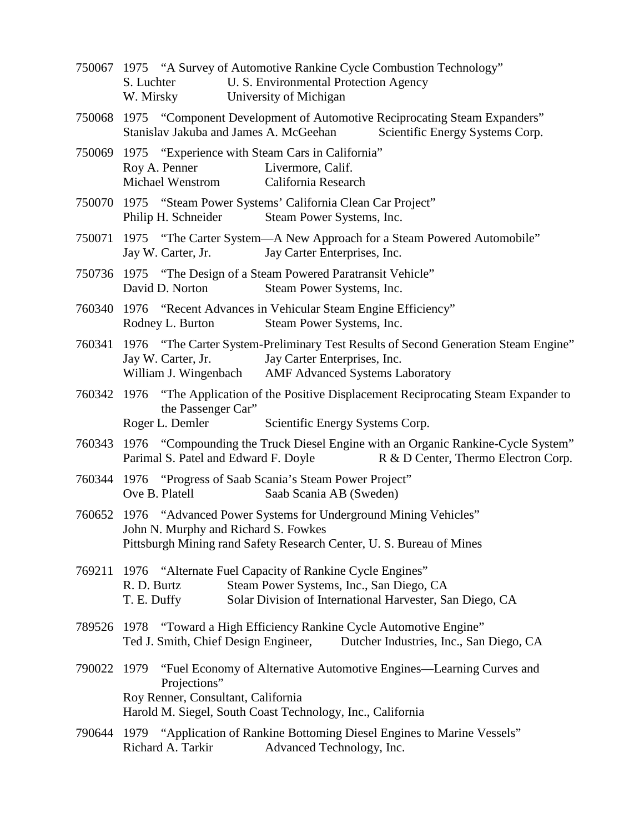|            | 750067 1975 "A Survey of Automotive Rankine Cycle Combustion Technology" |
|------------|--------------------------------------------------------------------------|
| S. Luchter | U. S. Environmental Protection Agency                                    |
| W. Mirsky  | University of Michigan                                                   |

- 750068 1975 "Component Development of Automotive Reciprocating Steam Expanders" Stanislav Jakuba and James A. McGeehan Scientific Energy Systems Corp.
- 750069 1975 "Experience with Steam Cars in California" Roy A. Penner Livermore, Calif. Michael Wenstrom California Research
- 750070 1975 "Steam Power Systems' California Clean Car Project" Philip H. Schneider Steam Power Systems, Inc.
- 750071 1975 "The Carter System—A New Approach for a Steam Powered Automobile" Jay W. Carter, Jr. Jay Carter Enterprises, Inc.
- 750736 1975 "The Design of a Steam Powered Paratransit Vehicle" David D. Norton Steam Power Systems, Inc.
- 760340 1976 "Recent Advances in Vehicular Steam Engine Efficiency" Rodney L. Burton Steam Power Systems, Inc.
- 760341 1976 "The Carter System-Preliminary Test Results of Second Generation Steam Engine" Jay W. Carter, Jr. Jay Carter Enterprises, Inc. William J. Wingenbach AMF Advanced Systems Laboratory
- 760342 1976 "The Application of the Positive Displacement Reciprocating Steam Expander to the Passenger Car" Roger L. Demler Scientific Energy Systems Corp.
- 760343 1976 "Compounding the Truck Diesel Engine with an Organic Rankine-Cycle System" Parimal S. Patel and Edward F. Doyle R & D Center, Thermo Electron Corp.
- 760344 1976 "Progress of Saab Scania's Steam Power Project" Ove B. Platell Saab Scania AB (Sweden)
- 760652 1976 "Advanced Power Systems for Underground Mining Vehicles" John N. Murphy and Richard S. Fowkes Pittsburgh Mining rand Safety Research Center, U. S. Bureau of Mines
- 769211 1976 "Alternate Fuel Capacity of Rankine Cycle Engines" R. D. Burtz Steam Power Systems, Inc., San Diego, CA T. E. Duffy Solar Division of International Harvester, San Diego, CA
- 789526 1978 "Toward a High Efficiency Rankine Cycle Automotive Engine" Ted J. Smith, Chief Design Engineer, Dutcher Industries, Inc., San Diego, CA
- 790022 1979 "Fuel Economy of Alternative Automotive Engines—Learning Curves and Projections" Roy Renner, Consultant, California Harold M. Siegel, South Coast Technology, Inc., California
- 790644 1979 "Application of Rankine Bottoming Diesel Engines to Marine Vessels" Richard A. Tarkir Advanced Technology, Inc.